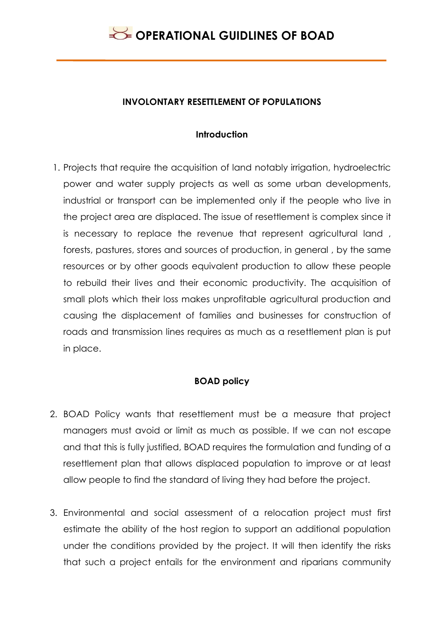#### **INVOLONTARY RESETTLEMENT OF POPULATIONS**

#### **Introduction**

1. Projects that require the acquisition of land notably irrigation, hydroelectric power and water supply projects as well as some urban developments, industrial or transport can be implemented only if the people who live in the project area are displaced. The issue of resettlement is complex since it is necessary to replace the revenue that represent agricultural land , forests, pastures, stores and sources of production, in general , by the same resources or by other goods equivalent production to allow these people to rebuild their lives and their economic productivity. The acquisition of small plots which their loss makes unprofitable agricultural production and causing the displacement of families and businesses for construction of roads and transmission lines requires as much as a resettlement plan is put in place.

#### **BOAD policy**

- 2. BOAD Policy wants that resettlement must be a measure that project managers must avoid or limit as much as possible. If we can not escape and that this is fully justified, BOAD requires the formulation and funding of a resettlement plan that allows displaced population to improve or at least allow people to find the standard of living they had before the project.
- 3. Environmental and social assessment of a relocation project must first estimate the ability of the host region to support an additional population under the conditions provided by the project. It will then identify the risks that such a project entails for the environment and riparians community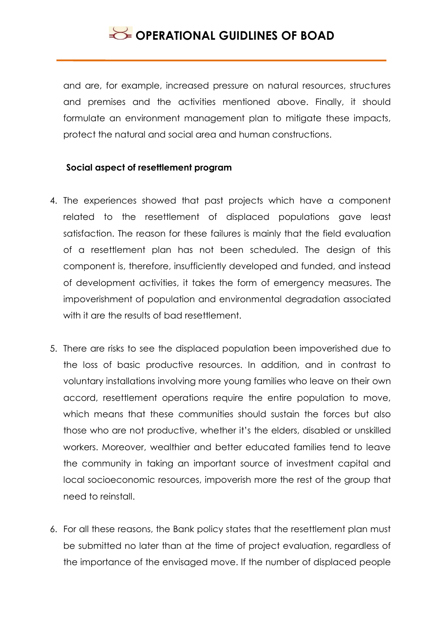and are, for example, increased pressure on natural resources, structures and premises and the activities mentioned above. Finally, it should formulate an environment management plan to mitigate these impacts, protect the natural and social area and human constructions.

#### **Social aspect of resettlement program**

- 4. The experiences showed that past projects which have a component related to the resettlement of displaced populations gave least satisfaction. The reason for these failures is mainly that the field evaluation of a resettlement plan has not been scheduled. The design of this component is, therefore, insufficiently developed and funded, and instead of development activities, it takes the form of emergency measures. The impoverishment of population and environmental degradation associated with it are the results of bad resettlement.
- 5. There are risks to see the displaced population been impoverished due to the loss of basic productive resources. In addition, and in contrast to voluntary installations involving more young families who leave on their own accord, resettlement operations require the entire population to move, which means that these communities should sustain the forces but also those who are not productive, whether it's the elders, disabled or unskilled workers. Moreover, wealthier and better educated families tend to leave the community in taking an important source of investment capital and local socioeconomic resources, impoverish more the rest of the group that need to reinstall.
- 6. For all these reasons, the Bank policy states that the resettlement plan must be submitted no later than at the time of project evaluation, regardless of the importance of the envisaged move. If the number of displaced people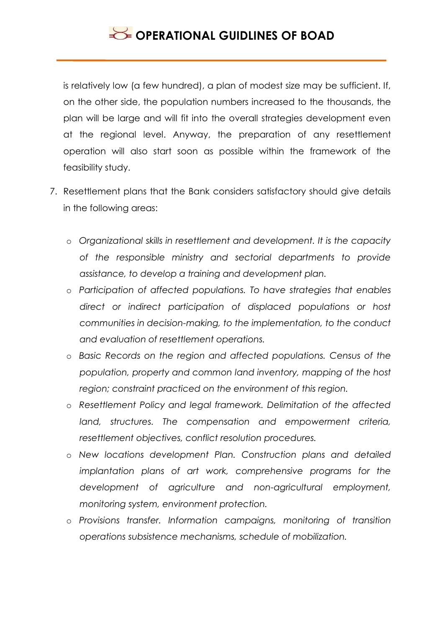is relatively low (a few hundred), a plan of modest size may be sufficient. If, on the other side, the population numbers increased to the thousands, the plan will be large and will fit into the overall strategies development even at the regional level. Anyway, the preparation of any resettlement operation will also start soon as possible within the framework of the feasibility study.

- 7. Resettlement plans that the Bank considers satisfactory should give details in the following areas:
	- o *Organizational skills in resettlement and development. It is the capacity of the responsible ministry and sectorial departments to provide assistance, to develop a training and development plan.*
	- o *Participation of affected populations. To have strategies that enables direct or indirect participation of displaced populations or host communities in decision-making, to the implementation, to the conduct and evaluation of resettlement operations.*
	- o *Basic Records on the region and affected populations. Census of the population, property and common land inventory, mapping of the host region; constraint practiced on the environment of this region.*
	- o *Resettlement Policy and legal framework. Delimitation of the affected land, structures. The compensation and empowerment criteria, resettlement objectives, conflict resolution procedures.*
	- o *New locations development Plan. Construction plans and detailed implantation plans of art work, comprehensive programs for the development of agriculture and non-agricultural employment, monitoring system, environment protection.*
	- o *Provisions transfer. Information campaigns, monitoring of transition operations subsistence mechanisms, schedule of mobilization.*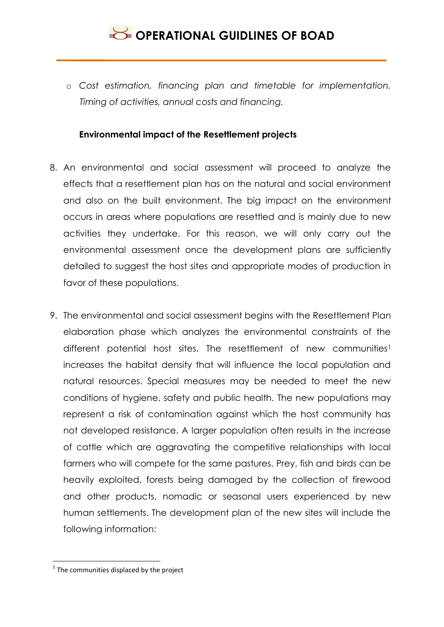o *Cost estimation, financing plan and timetable for implementation. Timing of activities, annual costs and financing.*

#### **Environmental impact of the Resettlement projects**

- 8. An environmental and social assessment will proceed to analyze the effects that a resettlement plan has on the natural and social environment and also on the built environment. The big impact on the environment occurs in areas where populations are resettled and is mainly due to new activities they undertake. For this reason, we will only carry out the environmental assessment once the development plans are sufficiently detailed to suggest the host sites and appropriate modes of production in favor of these populations.
- 9. The environmental and social assessment begins with the Resettlement Plan elaboration phase which analyzes the environmental constraints of the different potential host sites. The resettlement of new communities<sup>1</sup> increases the habitat density that will influence the local population and natural resources. Special measures may be needed to meet the new conditions of hygiene, safety and public health. The new populations may represent a risk of contamination against which the host community has not developed resistance. A larger population often results in the increase of cattle which are aggravating the competitive relationships with local farmers who will compete for the same pastures. Prey, fish and birds can be heavily exploited, forests being damaged by the collection of firewood and other products, nomadic or seasonal users experienced by new human settlements. The development plan of the new sites will include the following information:

**.** 

 $1$  The communities displaced by the project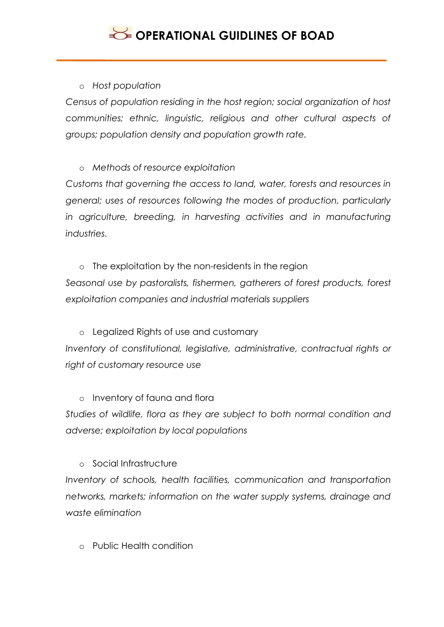o *Host population*

*Census of population residing in the host region; social organization of host communities; ethnic, linguistic, religious and other cultural aspects of groups; population density and population growth rate.*

o *Methods of resource exploitation*

*Customs that governing the access to land, water, forests and resources in general; uses of resources following the modes of production, particularly in agriculture, breeding, in harvesting activities and in manufacturing industries.*

o The exploitation by the non-residents in the region *Seasonal use by pastoralists, fishermen, gatherers of forest products, forest exploitation companies and industrial materials suppliers*

o Legalized Rights of use and customary *Inventory of constitutional, legislative, administrative, contractual rights or right of customary resource use*

o Inventory of fauna and flora

*Studies of wildlife, flora as they are subject to both normal condition and adverse; exploitation by local populations*

o Social Infrastructure

*Inventory of schools, health facilities, communication and transportation networks, markets; information on the water supply systems, drainage and waste elimination*

o Public Health condition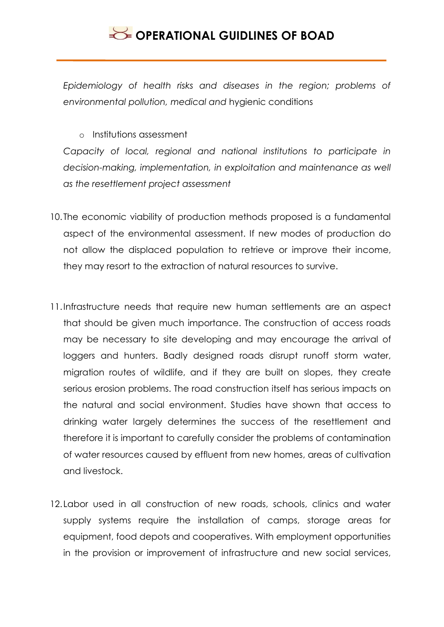*Epidemiology of health risks and diseases in the region; problems of environmental pollution, medical and* hygienic conditions

o Institutions assessment

Capacity of local, regional and national institutions to participate in *decision-making, implementation, in exploitation and maintenance as well as the resettlement project assessment*

- 10. The economic viability of production methods proposed is a fundamental aspect of the environmental assessment. If new modes of production do not allow the displaced population to retrieve or improve their income, they may resort to the extraction of natural resources to survive.
- 11.Infrastructure needs that require new human settlements are an aspect that should be given much importance. The construction of access roads may be necessary to site developing and may encourage the arrival of loggers and hunters. Badly designed roads disrupt runoff storm water, migration routes of wildlife, and if they are built on slopes, they create serious erosion problems. The road construction itself has serious impacts on the natural and social environment. Studies have shown that access to drinking water largely determines the success of the resettlement and therefore it is important to carefully consider the problems of contamination of water resources caused by effluent from new homes, areas of cultivation and livestock.
- 12.Labor used in all construction of new roads, schools, clinics and water supply systems require the installation of camps, storage areas for equipment, food depots and cooperatives. With employment opportunities in the provision or improvement of infrastructure and new social services,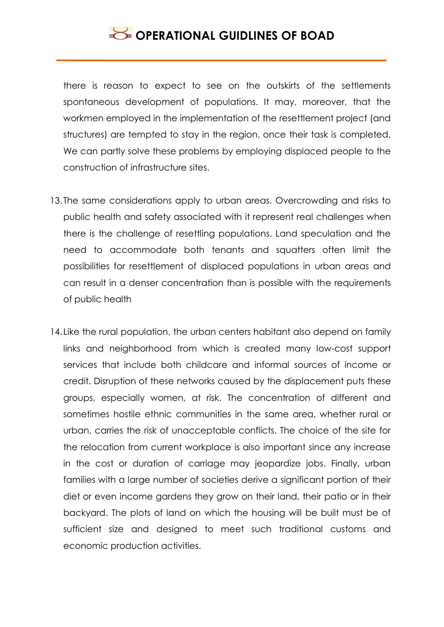there is reason to expect to see on the outskirts of the settlements spontaneous development of populations. It may, moreover, that the workmen employed in the implementation of the resettlement project (and structures) are tempted to stay in the region, once their task is completed. We can partly solve these problems by employing displaced people to the construction of infrastructure sites.

- 13. The same considerations apply to urban areas. Overcrowding and risks to public health and safety associated with it represent real challenges when there is the challenge of resettling populations. Land speculation and the need to accommodate both tenants and squatters often limit the possibilities for resettlement of displaced populations in urban areas and can result in a denser concentration than is possible with the requirements of public health
- 14. Like the rural population, the urban centers habitant also depend on family links and neighborhood from which is created many low-cost support services that include both childcare and informal sources of income or credit. Disruption of these networks caused by the displacement puts these groups, especially women, at risk. The concentration of different and sometimes hostile ethnic communities in the same area, whether rural or urban, carries the risk of unacceptable conflicts. The choice of the site for the relocation from current workplace is also important since any increase in the cost or duration of carriage may jeopardize jobs. Finally, urban families with a large number of societies derive a significant portion of their diet or even income gardens they grow on their land, their patio or in their backyard. The plots of land on which the housing will be built must be of sufficient size and designed to meet such traditional customs and economic production activities.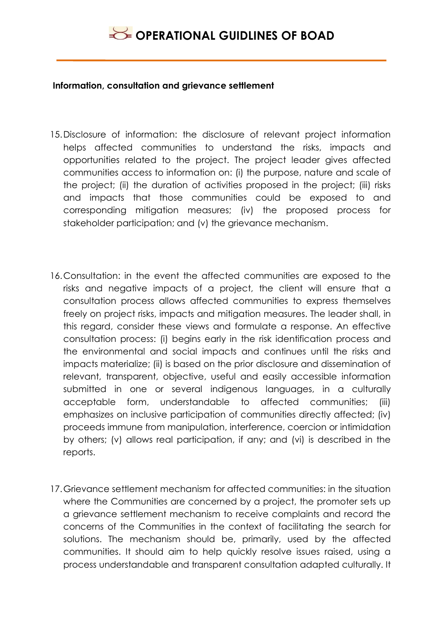#### **Information, consultation and grievance settlement**

- 15.Disclosure of information: the disclosure of relevant project information helps affected communities to understand the risks, impacts and opportunities related to the project. The project leader gives affected communities access to information on: (i) the purpose, nature and scale of the project; (ii) the duration of activities proposed in the project; (iii) risks and impacts that those communities could be exposed to and corresponding mitigation measures; (iv) the proposed process for stakeholder participation; and (v) the grievance mechanism.
- 16.Consultation: in the event the affected communities are exposed to the risks and negative impacts of a project, the client will ensure that a consultation process allows affected communities to express themselves freely on project risks, impacts and mitigation measures. The leader shall, in this regard, consider these views and formulate a response. An effective consultation process: (i) begins early in the risk identification process and the environmental and social impacts and continues until the risks and impacts materialize; (ii) is based on the prior disclosure and dissemination of relevant, transparent, objective, useful and easily accessible information submitted in one or several indigenous languages, in a culturally acceptable form, understandable to affected communities; (iii) emphasizes on inclusive participation of communities directly affected; (iv) proceeds immune from manipulation, interference, coercion or intimidation by others; (v) allows real participation, if any; and (vi) is described in the reports.
- 17.Grievance settlement mechanism for affected communities: in the situation where the Communities are concerned by a project, the promoter sets up a grievance settlement mechanism to receive complaints and record the concerns of the Communities in the context of facilitating the search for solutions. The mechanism should be, primarily, used by the affected communities. It should aim to help quickly resolve issues raised, using a process understandable and transparent consultation adapted culturally. It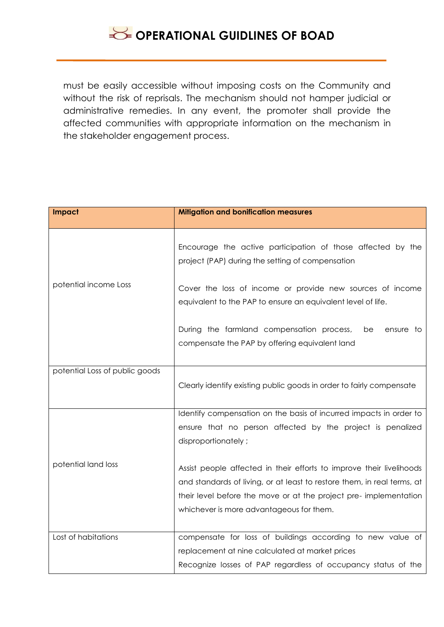## **SECTIONAL GUIDLINES OF BOAD**

must be easily accessible without imposing costs on the Community and without the risk of reprisals. The mechanism should not hamper judicial or administrative remedies. In any event, the promoter shall provide the affected communities with appropriate information on the mechanism in the stakeholder engagement process.

| Impact                         | <b>Mitigation and bonification measures</b>                                                                               |
|--------------------------------|---------------------------------------------------------------------------------------------------------------------------|
|                                | Encourage the active participation of those affected by the<br>project (PAP) during the setting of compensation           |
| potential income Loss          | Cover the loss of income or provide new sources of income<br>equivalent to the PAP to ensure an equivalent level of life. |
|                                | During the farmland compensation process,<br>be<br>ensure to<br>compensate the PAP by offering equivalent land            |
| potential Loss of public goods |                                                                                                                           |
|                                | Clearly identify existing public goods in order to fairly compensate                                                      |
|                                | Identify compensation on the basis of incurred impacts in order to                                                        |
|                                | ensure that no person affected by the project is penalized<br>disproportionately;                                         |
| potential land loss            | Assist people affected in their efforts to improve their livelihoods                                                      |
|                                | and standards of living, or at least to restore them, in real terms, at                                                   |
|                                | their level before the move or at the project pre-implementation                                                          |
|                                | whichever is more advantageous for them.                                                                                  |
| Lost of habitations            | compensate for loss of buildings according to new value of                                                                |
|                                | replacement at nine calculated at market prices                                                                           |
|                                | Recognize losses of PAP regardless of occupancy status of the                                                             |